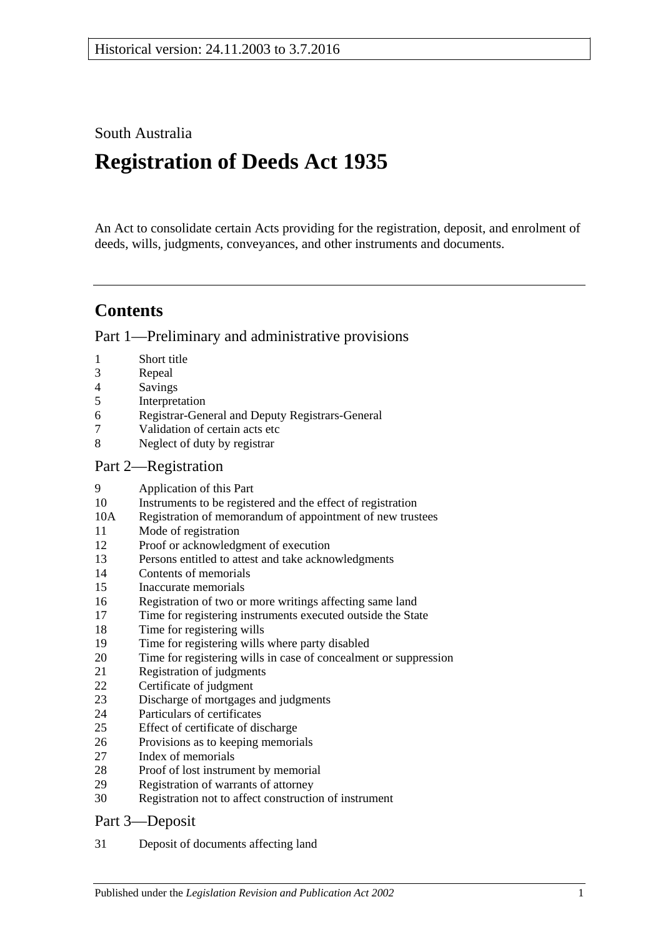South Australia

# **Registration of Deeds Act 1935**

An Act to consolidate certain Acts providing for the registration, deposit, and enrolment of deeds, wills, judgments, conveyances, and other instruments and documents.

## **Contents**

[Part 1—Preliminary and administrative provisions](#page-1-0)

- [Short title](#page-1-1)
- [Repeal](#page-1-2)
- [Savings](#page-2-0)
- [Interpretation](#page-2-1)
- [Registrar-General and Deputy Registrars-General](#page-2-2)
- [Validation of certain acts etc](#page-3-0)
- [Neglect of duty by registrar](#page-3-1)

### [Part 2—Registration](#page-3-2)

- [Application of this Part](#page-3-3)
- [Instruments to be registered and the effect of registration](#page-3-4)
- 10A [Registration of memorandum of appointment of new trustees](#page-4-0)
- [Mode of registration](#page-4-1)
- [Proof or acknowledgment of execution](#page-4-2)
- [Persons entitled to attest and take acknowledgments](#page-4-3)
- [Contents of memorials](#page-5-0)
- [Inaccurate memorials](#page-5-1)
- [Registration of two or more writings affecting same land](#page-5-2)
- [Time for registering instruments executed outside the State](#page-6-0)
- [Time for registering wills](#page-6-1)
- [Time for registering wills where party disabled](#page-6-2)
- [Time for registering wills in case of concealment or suppression](#page-6-3)
- [Registration of judgments](#page-6-4)
- [Certificate of judgment](#page-7-0)
- [Discharge of mortgages and judgments](#page-7-1)
- [Particulars of certificates](#page-7-2)
- [Effect of certificate of discharge](#page-8-0)
- [Provisions as to keeping memorials](#page-8-1)
- [Index of memorials](#page-8-2)
- [Proof of lost instrument by memorial](#page-8-3)
- [Registration of warrants of attorney](#page-9-0)
- [Registration not to affect construction of instrument](#page-9-1)

### [Part 3—Deposit](#page-9-2)

[Deposit of documents affecting land](#page-9-3)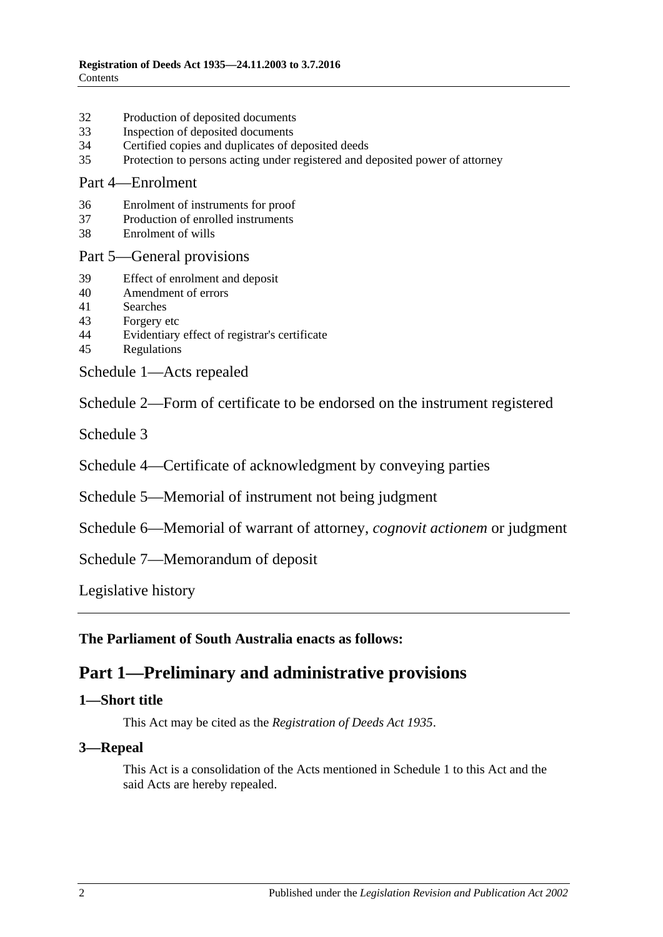- 32 [Production of deposited documents](#page-9-4)
- 33 [Inspection of deposited documents](#page-10-0)
- 34 [Certified copies and duplicates of deposited deeds](#page-10-1)
- 35 [Protection to persons acting under registered and deposited power of attorney](#page-10-2)

#### [Part 4—Enrolment](#page-10-3)

- 36 [Enrolment of instruments for proof](#page-10-4)
- 37 [Production of enrolled instruments](#page-11-0)
- 38 [Enrolment of wills](#page-11-1)

#### [Part 5—General provisions](#page-11-2)

- 39 [Effect of enrolment and deposit](#page-11-3)
- 40 [Amendment](#page-11-4) of errors
- 41 [Searches](#page-12-0)
- 43 [Forgery etc](#page-12-1)
- 44 [Evidentiary effect of registrar's certificate](#page-12-2)
- 45 [Regulations](#page-12-3)

[Schedule 1—Acts repealed](#page-13-0)

[Schedule 2—Form of certificate to be endorsed on the instrument registered](#page-13-1)

[Schedule 3](#page-13-2)

[Schedule 4—Certificate of acknowledgment by conveying parties](#page-14-0)

- [Schedule 5—Memorial of instrument not being judgment](#page-14-1)
- [Schedule 6—Memorial of warrant of attorney,](#page-16-0) *cognovit actionem* or judgment

[Schedule 7—Memorandum of deposit](#page-16-1)

[Legislative history](#page-17-0)

<span id="page-1-0"></span>**The Parliament of South Australia enacts as follows:**

## **Part 1—Preliminary and administrative provisions**

#### <span id="page-1-1"></span>**1—Short title**

This Act may be cited as the *Registration of Deeds Act 1935*.

#### <span id="page-1-2"></span>**3—Repeal**

This Act is a consolidation of the Acts mentioned in [Schedule 1](#page-13-0) to this Act and the said Acts are hereby repealed.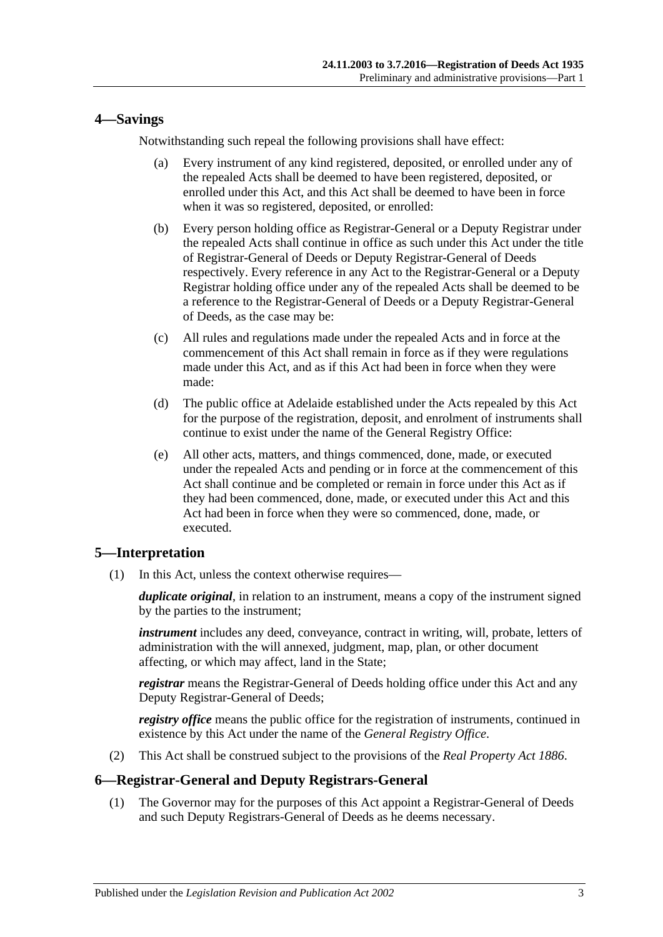#### <span id="page-2-0"></span>**4—Savings**

Notwithstanding such repeal the following provisions shall have effect:

- (a) Every instrument of any kind registered, deposited, or enrolled under any of the repealed Acts shall be deemed to have been registered, deposited, or enrolled under this Act, and this Act shall be deemed to have been in force when it was so registered, deposited, or enrolled:
- (b) Every person holding office as Registrar-General or a Deputy Registrar under the repealed Acts shall continue in office as such under this Act under the title of Registrar-General of Deeds or Deputy Registrar-General of Deeds respectively. Every reference in any Act to the Registrar-General or a Deputy Registrar holding office under any of the repealed Acts shall be deemed to be a reference to the Registrar-General of Deeds or a Deputy Registrar-General of Deeds, as the case may be:
- (c) All rules and regulations made under the repealed Acts and in force at the commencement of this Act shall remain in force as if they were regulations made under this Act, and as if this Act had been in force when they were made:
- (d) The public office at Adelaide established under the Acts repealed by this Act for the purpose of the registration, deposit, and enrolment of instruments shall continue to exist under the name of the General Registry Office:
- (e) All other acts, matters, and things commenced, done, made, or executed under the repealed Acts and pending or in force at the commencement of this Act shall continue and be completed or remain in force under this Act as if they had been commenced, done, made, or executed under this Act and this Act had been in force when they were so commenced, done, made, or executed.

#### <span id="page-2-1"></span>**5—Interpretation**

(1) In this Act, unless the context otherwise requires—

*duplicate original*, in relation to an instrument, means a copy of the instrument signed by the parties to the instrument;

*instrument* includes any deed, conveyance, contract in writing, will, probate, letters of administration with the will annexed, judgment, map, plan, or other document affecting, or which may affect, land in the State;

*registrar* means the Registrar-General of Deeds holding office under this Act and any Deputy Registrar-General of Deeds;

*registry office* means the public office for the registration of instruments, continued in existence by this Act under the name of the *General Registry Office*.

(2) This Act shall be construed subject to the provisions of the *[Real Property Act](http://www.legislation.sa.gov.au/index.aspx?action=legref&type=act&legtitle=Real%20Property%20Act%201886) 1886*.

#### <span id="page-2-2"></span>**6—Registrar-General and Deputy Registrars-General**

(1) The Governor may for the purposes of this Act appoint a Registrar-General of Deeds and such Deputy Registrars-General of Deeds as he deems necessary.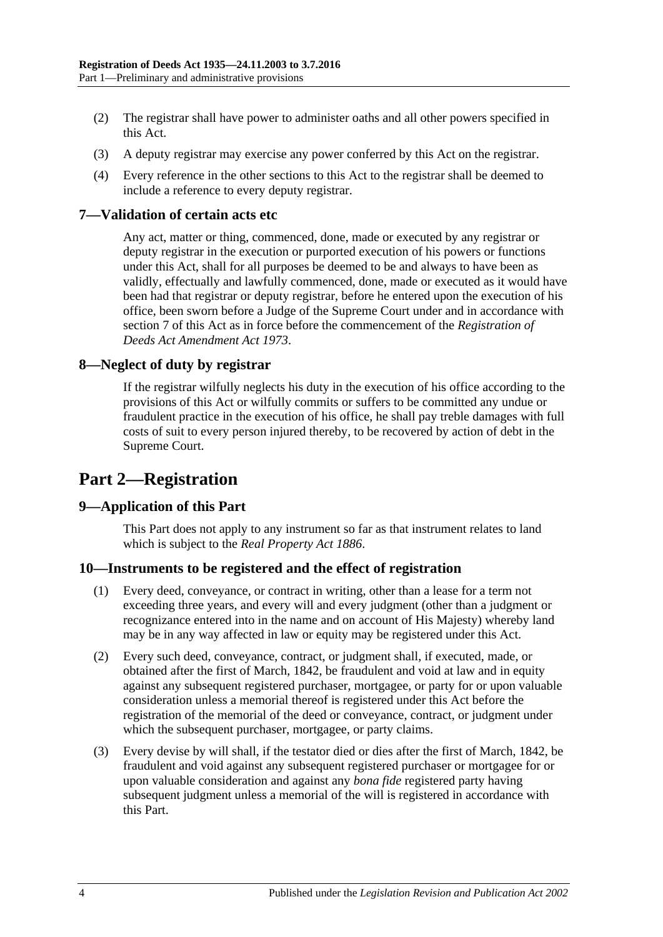- (2) The registrar shall have power to administer oaths and all other powers specified in this Act.
- (3) A deputy registrar may exercise any power conferred by this Act on the registrar.
- (4) Every reference in the other sections to this Act to the registrar shall be deemed to include a reference to every deputy registrar.

#### <span id="page-3-0"></span>**7—Validation of certain acts etc**

Any act, matter or thing, commenced, done, made or executed by any registrar or deputy registrar in the execution or purported execution of his powers or functions under this Act, shall for all purposes be deemed to be and always to have been as validly, effectually and lawfully commenced, done, made or executed as it would have been had that registrar or deputy registrar, before he entered upon the execution of his office, been sworn before a Judge of the Supreme Court under and in accordance with [section](#page-3-0) 7 of this Act as in force before the commencement of the *[Registration of](http://www.legislation.sa.gov.au/index.aspx?action=legref&type=act&legtitle=Registration%20of%20Deeds%20Act%20Amendment%20Act%201973)  [Deeds Act Amendment Act](http://www.legislation.sa.gov.au/index.aspx?action=legref&type=act&legtitle=Registration%20of%20Deeds%20Act%20Amendment%20Act%201973) 1973*.

#### <span id="page-3-1"></span>**8—Neglect of duty by registrar**

If the registrar wilfully neglects his duty in the execution of his office according to the provisions of this Act or wilfully commits or suffers to be committed any undue or fraudulent practice in the execution of his office, he shall pay treble damages with full costs of suit to every person injured thereby, to be recovered by action of debt in the Supreme Court.

## <span id="page-3-2"></span>**Part 2—Registration**

#### <span id="page-3-3"></span>**9—Application of this Part**

This Part does not apply to any instrument so far as that instrument relates to land which is subject to the *[Real Property Act](http://www.legislation.sa.gov.au/index.aspx?action=legref&type=act&legtitle=Real%20Property%20Act%201886) 1886*.

#### <span id="page-3-4"></span>**10—Instruments to be registered and the effect of registration**

- (1) Every deed, conveyance, or contract in writing, other than a lease for a term not exceeding three years, and every will and every judgment (other than a judgment or recognizance entered into in the name and on account of His Majesty) whereby land may be in any way affected in law or equity may be registered under this Act.
- (2) Every such deed, conveyance, contract, or judgment shall, if executed, made, or obtained after the first of March, 1842, be fraudulent and void at law and in equity against any subsequent registered purchaser, mortgagee, or party for or upon valuable consideration unless a memorial thereof is registered under this Act before the registration of the memorial of the deed or conveyance, contract, or judgment under which the subsequent purchaser, mortgagee, or party claims.
- (3) Every devise by will shall, if the testator died or dies after the first of March, 1842, be fraudulent and void against any subsequent registered purchaser or mortgagee for or upon valuable consideration and against any *bona fide* registered party having subsequent judgment unless a memorial of the will is registered in accordance with this Part.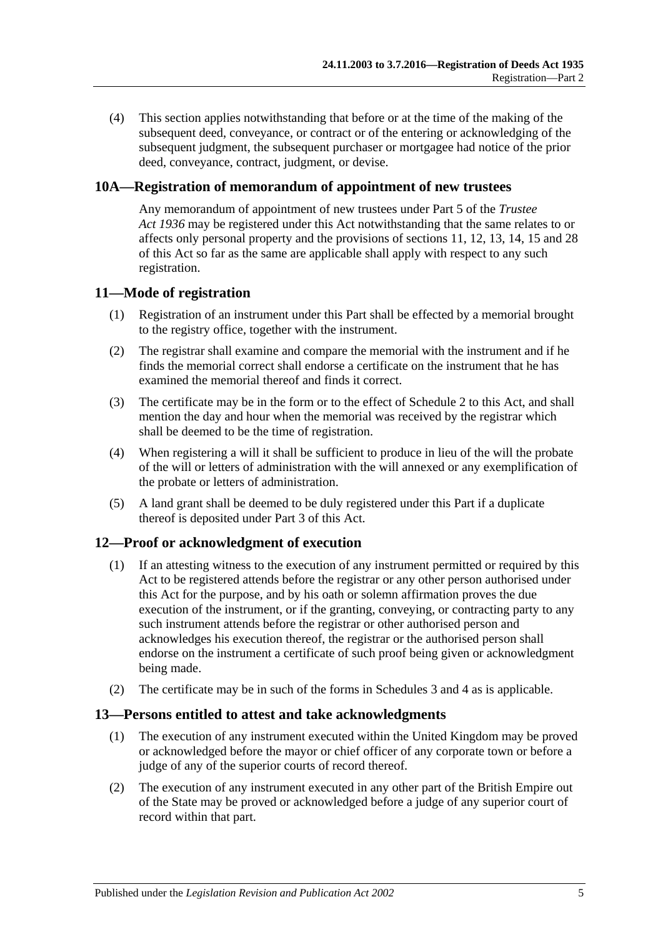(4) This section applies notwithstanding that before or at the time of the making of the subsequent deed, conveyance, or contract or of the entering or acknowledging of the subsequent judgment, the subsequent purchaser or mortgagee had notice of the prior deed, conveyance, contract, judgment, or devise.

### <span id="page-4-0"></span>**10A—Registration of memorandum of appointment of new trustees**

Any memorandum of appointment of new trustees under Part 5 of the *[Trustee](http://www.legislation.sa.gov.au/index.aspx?action=legref&type=act&legtitle=Trustee%20Act%201936)  Act [1936](http://www.legislation.sa.gov.au/index.aspx?action=legref&type=act&legtitle=Trustee%20Act%201936)* may be registered under this Act notwithstanding that the same relates to or affects only personal property and the provisions of [sections](#page-4-1) 11, [12,](#page-4-2) [13,](#page-4-3) [14,](#page-5-0) [15](#page-5-1) and [28](#page-8-3) of this Act so far as the same are applicable shall apply with respect to any such registration.

#### <span id="page-4-1"></span>**11—Mode of registration**

- (1) Registration of an instrument under this Part shall be effected by a memorial brought to the registry office, together with the instrument.
- (2) The registrar shall examine and compare the memorial with the instrument and if he finds the memorial correct shall endorse a certificate on the instrument that he has examined the memorial thereof and finds it correct.
- (3) The certificate may be in the form or to the effect of [Schedule 2](#page-13-1) to this Act, and shall mention the day and hour when the memorial was received by the registrar which shall be deemed to be the time of registration.
- (4) When registering a will it shall be sufficient to produce in lieu of the will the probate of the will or letters of administration with the will annexed or any exemplification of the probate or letters of administration.
- (5) A land grant shall be deemed to be duly registered under this Part if a duplicate thereof is deposited under [Part 3](#page-9-2) of this Act.

### <span id="page-4-2"></span>**12—Proof or acknowledgment of execution**

- (1) If an attesting witness to the execution of any instrument permitted or required by this Act to be registered attends before the registrar or any other person authorised under this Act for the purpose, and by his oath or solemn affirmation proves the due execution of the instrument, or if the granting, conveying, or contracting party to any such instrument attends before the registrar or other authorised person and acknowledges his execution thereof, the registrar or the authorised person shall endorse on the instrument a certificate of such proof being given or acknowledgment being made.
- (2) The certificate may be in such of the forms in [Schedules 3](#page-13-2) and [4](#page-14-0) as is applicable.

#### <span id="page-4-3"></span>**13—Persons entitled to attest and take acknowledgments**

- (1) The execution of any instrument executed within the United Kingdom may be proved or acknowledged before the mayor or chief officer of any corporate town or before a judge of any of the superior courts of record thereof.
- (2) The execution of any instrument executed in any other part of the British Empire out of the State may be proved or acknowledged before a judge of any superior court of record within that part.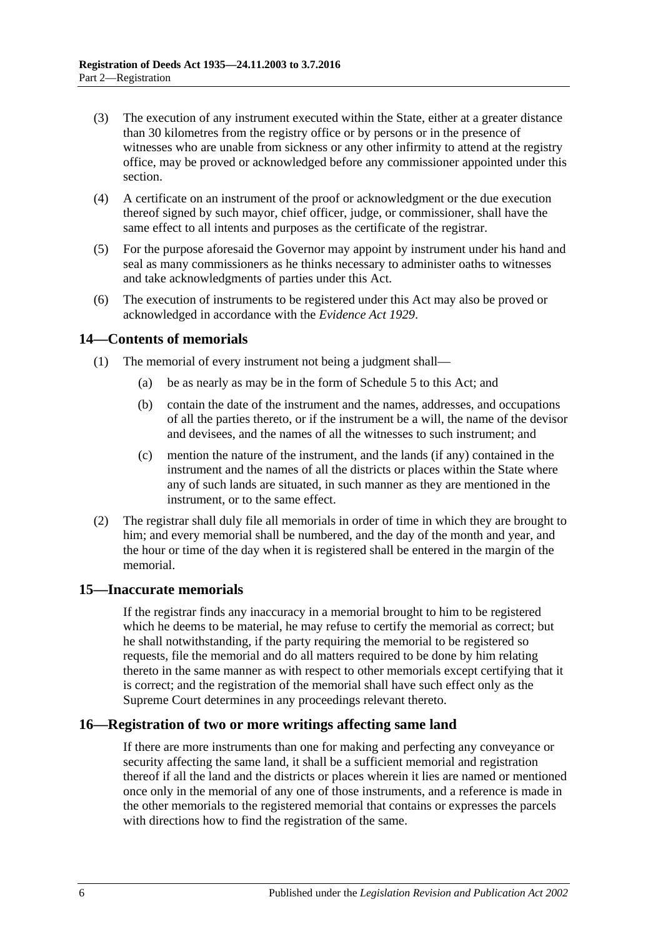- (3) The execution of any instrument executed within the State, either at a greater distance than 30 kilometres from the registry office or by persons or in the presence of witnesses who are unable from sickness or any other infirmity to attend at the registry office, may be proved or acknowledged before any commissioner appointed under this section.
- (4) A certificate on an instrument of the proof or acknowledgment or the due execution thereof signed by such mayor, chief officer, judge, or commissioner, shall have the same effect to all intents and purposes as the certificate of the registrar.
- (5) For the purpose aforesaid the Governor may appoint by instrument under his hand and seal as many commissioners as he thinks necessary to administer oaths to witnesses and take acknowledgments of parties under this Act.
- (6) The execution of instruments to be registered under this Act may also be proved or acknowledged in accordance with the *[Evidence Act](http://www.legislation.sa.gov.au/index.aspx?action=legref&type=act&legtitle=Evidence%20Act%201929) 1929*.

#### <span id="page-5-0"></span>**14—Contents of memorials**

- (1) The memorial of every instrument not being a judgment shall—
	- (a) be as nearly as may be in the form of [Schedule 5](#page-14-1) to this Act; and
	- (b) contain the date of the instrument and the names, addresses, and occupations of all the parties thereto, or if the instrument be a will, the name of the devisor and devisees, and the names of all the witnesses to such instrument; and
	- (c) mention the nature of the instrument, and the lands (if any) contained in the instrument and the names of all the districts or places within the State where any of such lands are situated, in such manner as they are mentioned in the instrument, or to the same effect.
- (2) The registrar shall duly file all memorials in order of time in which they are brought to him; and every memorial shall be numbered, and the day of the month and year, and the hour or time of the day when it is registered shall be entered in the margin of the memorial.

#### <span id="page-5-1"></span>**15—Inaccurate memorials**

If the registrar finds any inaccuracy in a memorial brought to him to be registered which he deems to be material, he may refuse to certify the memorial as correct; but he shall notwithstanding, if the party requiring the memorial to be registered so requests, file the memorial and do all matters required to be done by him relating thereto in the same manner as with respect to other memorials except certifying that it is correct; and the registration of the memorial shall have such effect only as the Supreme Court determines in any proceedings relevant thereto.

#### <span id="page-5-2"></span>**16—Registration of two or more writings affecting same land**

If there are more instruments than one for making and perfecting any conveyance or security affecting the same land, it shall be a sufficient memorial and registration thereof if all the land and the districts or places wherein it lies are named or mentioned once only in the memorial of any one of those instruments, and a reference is made in the other memorials to the registered memorial that contains or expresses the parcels with directions how to find the registration of the same.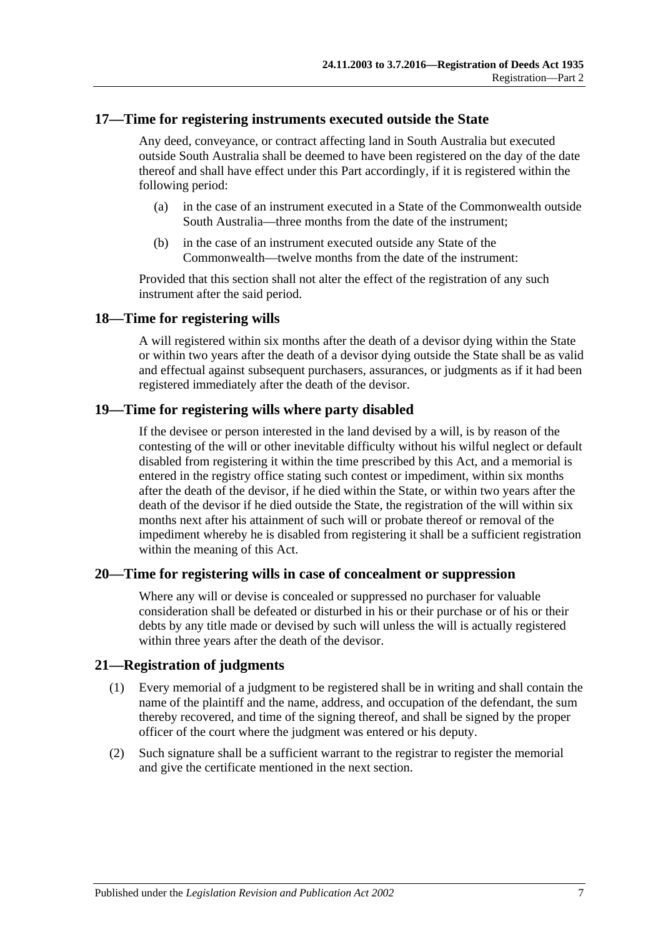#### <span id="page-6-0"></span>**17—Time for registering instruments executed outside the State**

Any deed, conveyance, or contract affecting land in South Australia but executed outside South Australia shall be deemed to have been registered on the day of the date thereof and shall have effect under this Part accordingly, if it is registered within the following period:

- (a) in the case of an instrument executed in a State of the Commonwealth outside South Australia—three months from the date of the instrument;
- (b) in the case of an instrument executed outside any State of the Commonwealth—twelve months from the date of the instrument:

Provided that this section shall not alter the effect of the registration of any such instrument after the said period.

#### <span id="page-6-1"></span>**18—Time for registering wills**

A will registered within six months after the death of a devisor dying within the State or within two years after the death of a devisor dying outside the State shall be as valid and effectual against subsequent purchasers, assurances, or judgments as if it had been registered immediately after the death of the devisor.

#### <span id="page-6-2"></span>**19—Time for registering wills where party disabled**

If the devisee or person interested in the land devised by a will, is by reason of the contesting of the will or other inevitable difficulty without his wilful neglect or default disabled from registering it within the time prescribed by this Act, and a memorial is entered in the registry office stating such contest or impediment, within six months after the death of the devisor, if he died within the State, or within two years after the death of the devisor if he died outside the State, the registration of the will within six months next after his attainment of such will or probate thereof or removal of the impediment whereby he is disabled from registering it shall be a sufficient registration within the meaning of this Act.

#### <span id="page-6-3"></span>**20—Time for registering wills in case of concealment or suppression**

Where any will or devise is concealed or suppressed no purchaser for valuable consideration shall be defeated or disturbed in his or their purchase or of his or their debts by any title made or devised by such will unless the will is actually registered within three years after the death of the devisor.

#### <span id="page-6-4"></span>**21—Registration of judgments**

- (1) Every memorial of a judgment to be registered shall be in writing and shall contain the name of the plaintiff and the name, address, and occupation of the defendant, the sum thereby recovered, and time of the signing thereof, and shall be signed by the proper officer of the court where the judgment was entered or his deputy.
- (2) Such signature shall be a sufficient warrant to the registrar to register the memorial and give the certificate mentioned in the next section.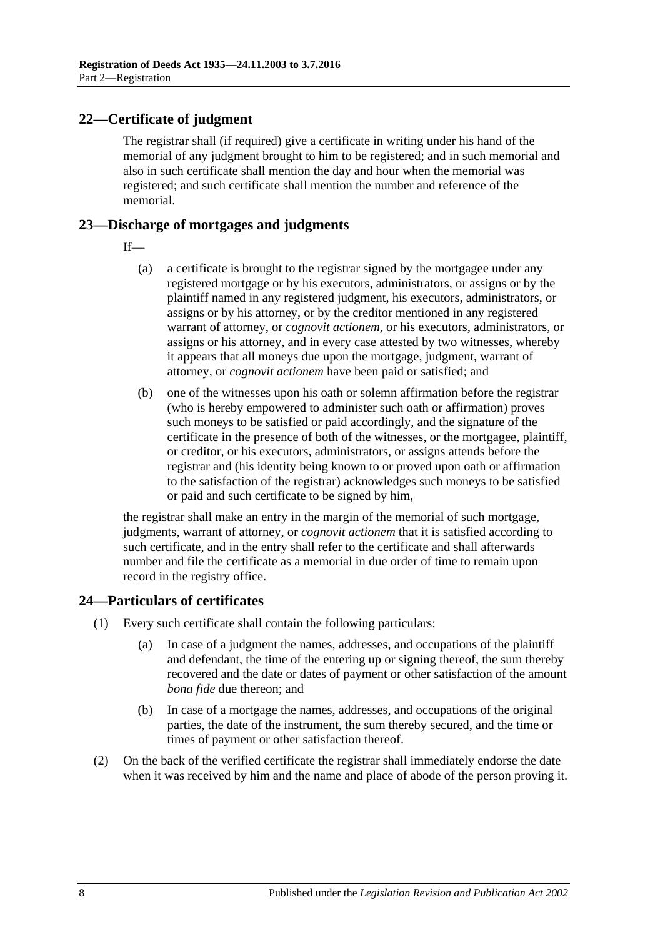### <span id="page-7-0"></span>**22—Certificate of judgment**

The registrar shall (if required) give a certificate in writing under his hand of the memorial of any judgment brought to him to be registered; and in such memorial and also in such certificate shall mention the day and hour when the memorial was registered; and such certificate shall mention the number and reference of the memorial.

### <span id="page-7-1"></span>**23—Discharge of mortgages and judgments**

If—

- (a) a certificate is brought to the registrar signed by the mortgagee under any registered mortgage or by his executors, administrators, or assigns or by the plaintiff named in any registered judgment, his executors, administrators, or assigns or by his attorney, or by the creditor mentioned in any registered warrant of attorney, or *cognovit actionem*, or his executors, administrators, or assigns or his attorney, and in every case attested by two witnesses, whereby it appears that all moneys due upon the mortgage, judgment, warrant of attorney, or *cognovit actionem* have been paid or satisfied; and
- (b) one of the witnesses upon his oath or solemn affirmation before the registrar (who is hereby empowered to administer such oath or affirmation) proves such moneys to be satisfied or paid accordingly, and the signature of the certificate in the presence of both of the witnesses, or the mortgagee, plaintiff, or creditor, or his executors, administrators, or assigns attends before the registrar and (his identity being known to or proved upon oath or affirmation to the satisfaction of the registrar) acknowledges such moneys to be satisfied or paid and such certificate to be signed by him,

the registrar shall make an entry in the margin of the memorial of such mortgage, judgments, warrant of attorney, or *cognovit actionem* that it is satisfied according to such certificate, and in the entry shall refer to the certificate and shall afterwards number and file the certificate as a memorial in due order of time to remain upon record in the registry office.

#### <span id="page-7-2"></span>**24—Particulars of certificates**

- (1) Every such certificate shall contain the following particulars:
	- (a) In case of a judgment the names, addresses, and occupations of the plaintiff and defendant, the time of the entering up or signing thereof, the sum thereby recovered and the date or dates of payment or other satisfaction of the amount *bona fide* due thereon; and
	- (b) In case of a mortgage the names, addresses, and occupations of the original parties, the date of the instrument, the sum thereby secured, and the time or times of payment or other satisfaction thereof.
- (2) On the back of the verified certificate the registrar shall immediately endorse the date when it was received by him and the name and place of abode of the person proving it.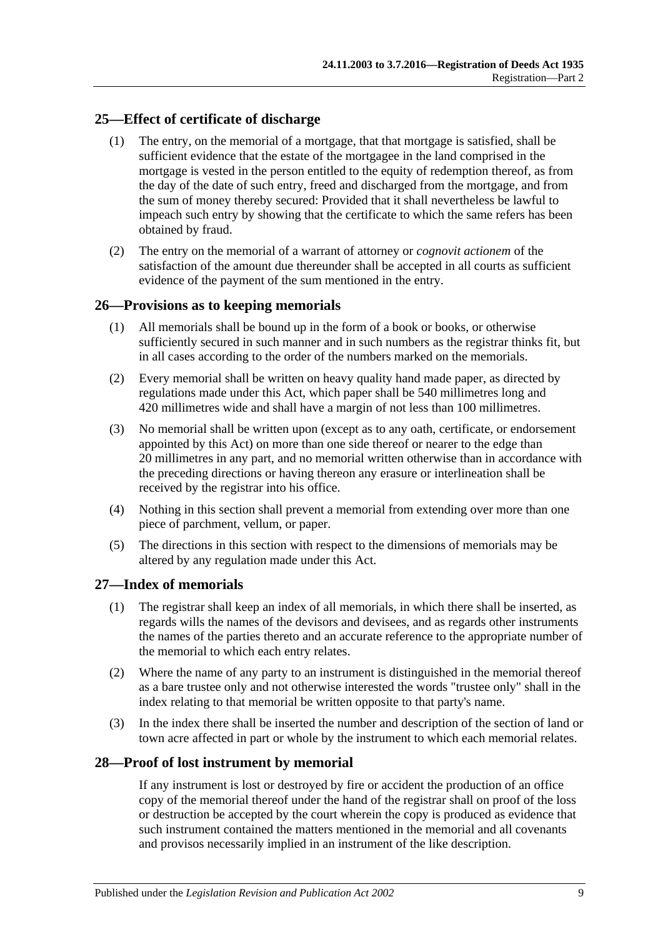### <span id="page-8-0"></span>**25—Effect of certificate of discharge**

- (1) The entry, on the memorial of a mortgage, that that mortgage is satisfied, shall be sufficient evidence that the estate of the mortgagee in the land comprised in the mortgage is vested in the person entitled to the equity of redemption thereof, as from the day of the date of such entry, freed and discharged from the mortgage, and from the sum of money thereby secured: Provided that it shall nevertheless be lawful to impeach such entry by showing that the certificate to which the same refers has been obtained by fraud.
- (2) The entry on the memorial of a warrant of attorney or *cognovit actionem* of the satisfaction of the amount due thereunder shall be accepted in all courts as sufficient evidence of the payment of the sum mentioned in the entry.

#### <span id="page-8-1"></span>**26—Provisions as to keeping memorials**

- (1) All memorials shall be bound up in the form of a book or books, or otherwise sufficiently secured in such manner and in such numbers as the registrar thinks fit, but in all cases according to the order of the numbers marked on the memorials.
- (2) Every memorial shall be written on heavy quality hand made paper, as directed by regulations made under this Act, which paper shall be 540 millimetres long and 420 millimetres wide and shall have a margin of not less than 100 millimetres.
- (3) No memorial shall be written upon (except as to any oath, certificate, or endorsement appointed by this Act) on more than one side thereof or nearer to the edge than 20 millimetres in any part, and no memorial written otherwise than in accordance with the preceding directions or having thereon any erasure or interlineation shall be received by the registrar into his office.
- (4) Nothing in this section shall prevent a memorial from extending over more than one piece of parchment, vellum, or paper.
- (5) The directions in this section with respect to the dimensions of memorials may be altered by any regulation made under this Act.

#### <span id="page-8-2"></span>**27—Index of memorials**

- (1) The registrar shall keep an index of all memorials, in which there shall be inserted, as regards wills the names of the devisors and devisees, and as regards other instruments the names of the parties thereto and an accurate reference to the appropriate number of the memorial to which each entry relates.
- (2) Where the name of any party to an instrument is distinguished in the memorial thereof as a bare trustee only and not otherwise interested the words "trustee only" shall in the index relating to that memorial be written opposite to that party's name.
- (3) In the index there shall be inserted the number and description of the section of land or town acre affected in part or whole by the instrument to which each memorial relates.

#### <span id="page-8-3"></span>**28—Proof of lost instrument by memorial**

If any instrument is lost or destroyed by fire or accident the production of an office copy of the memorial thereof under the hand of the registrar shall on proof of the loss or destruction be accepted by the court wherein the copy is produced as evidence that such instrument contained the matters mentioned in the memorial and all covenants and provisos necessarily implied in an instrument of the like description.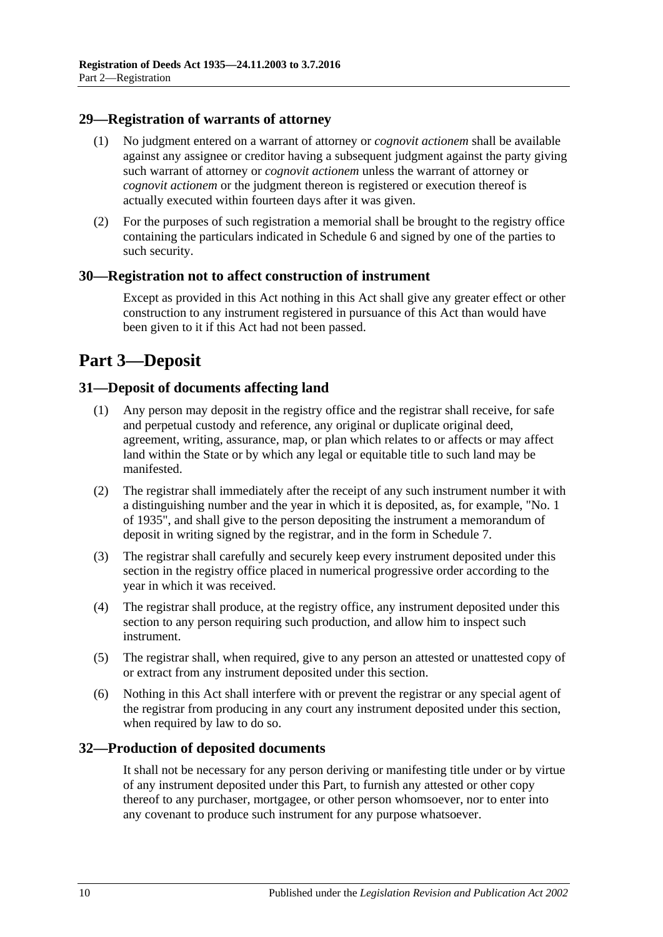#### <span id="page-9-0"></span>**29—Registration of warrants of attorney**

- (1) No judgment entered on a warrant of attorney or *cognovit actionem* shall be available against any assignee or creditor having a subsequent judgment against the party giving such warrant of attorney or *cognovit actionem* unless the warrant of attorney or *cognovit actionem* or the judgment thereon is registered or execution thereof is actually executed within fourteen days after it was given.
- (2) For the purposes of such registration a memorial shall be brought to the registry office containing the particulars indicated in [Schedule 6](#page-16-0) and signed by one of the parties to such security.

#### <span id="page-9-1"></span>**30—Registration not to affect construction of instrument**

Except as provided in this Act nothing in this Act shall give any greater effect or other construction to any instrument registered in pursuance of this Act than would have been given to it if this Act had not been passed.

## <span id="page-9-2"></span>**Part 3—Deposit**

#### <span id="page-9-3"></span>**31—Deposit of documents affecting land**

- (1) Any person may deposit in the registry office and the registrar shall receive, for safe and perpetual custody and reference, any original or duplicate original deed, agreement, writing, assurance, map, or plan which relates to or affects or may affect land within the State or by which any legal or equitable title to such land may be manifested.
- (2) The registrar shall immediately after the receipt of any such instrument number it with a distinguishing number and the year in which it is deposited, as, for example, "No. 1 of 1935", and shall give to the person depositing the instrument a memorandum of deposit in writing signed by the registrar, and in the form in [Schedule 7.](#page-16-1)
- (3) The registrar shall carefully and securely keep every instrument deposited under this section in the registry office placed in numerical progressive order according to the year in which it was received.
- (4) The registrar shall produce, at the registry office, any instrument deposited under this section to any person requiring such production, and allow him to inspect such instrument.
- (5) The registrar shall, when required, give to any person an attested or unattested copy of or extract from any instrument deposited under this section.
- (6) Nothing in this Act shall interfere with or prevent the registrar or any special agent of the registrar from producing in any court any instrument deposited under this section, when required by law to do so.

#### <span id="page-9-4"></span>**32—Production of deposited documents**

It shall not be necessary for any person deriving or manifesting title under or by virtue of any instrument deposited under this Part, to furnish any attested or other copy thereof to any purchaser, mortgagee, or other person whomsoever, nor to enter into any covenant to produce such instrument for any purpose whatsoever.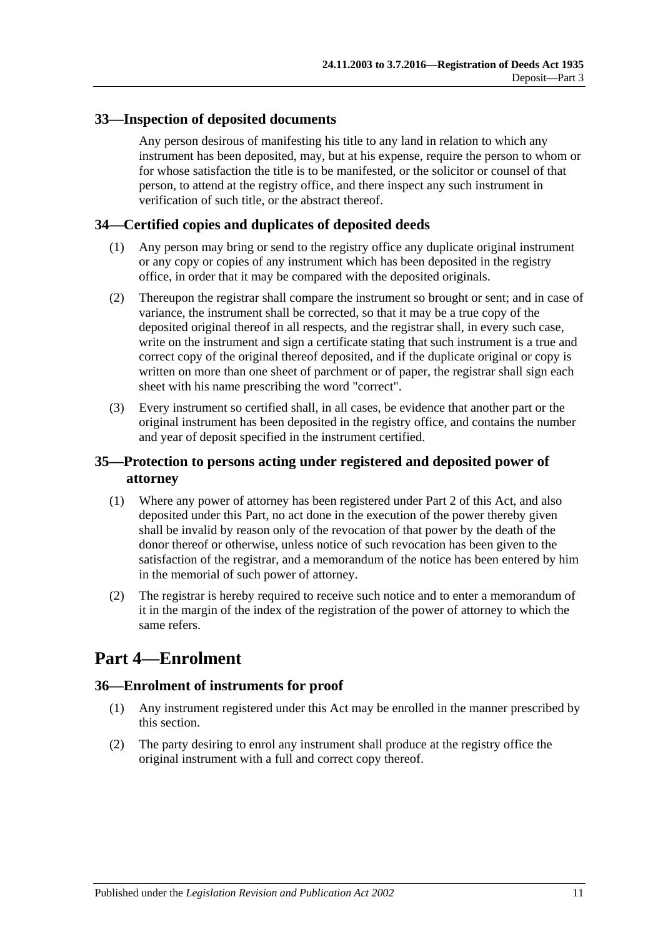### <span id="page-10-0"></span>**33—Inspection of deposited documents**

Any person desirous of manifesting his title to any land in relation to which any instrument has been deposited, may, but at his expense, require the person to whom or for whose satisfaction the title is to be manifested, or the solicitor or counsel of that person, to attend at the registry office, and there inspect any such instrument in verification of such title, or the abstract thereof.

### <span id="page-10-1"></span>**34—Certified copies and duplicates of deposited deeds**

- (1) Any person may bring or send to the registry office any duplicate original instrument or any copy or copies of any instrument which has been deposited in the registry office, in order that it may be compared with the deposited originals.
- (2) Thereupon the registrar shall compare the instrument so brought or sent; and in case of variance, the instrument shall be corrected, so that it may be a true copy of the deposited original thereof in all respects, and the registrar shall, in every such case, write on the instrument and sign a certificate stating that such instrument is a true and correct copy of the original thereof deposited, and if the duplicate original or copy is written on more than one sheet of parchment or of paper, the registrar shall sign each sheet with his name prescribing the word "correct".
- (3) Every instrument so certified shall, in all cases, be evidence that another part or the original instrument has been deposited in the registry office, and contains the number and year of deposit specified in the instrument certified.

### <span id="page-10-2"></span>**35—Protection to persons acting under registered and deposited power of attorney**

- (1) Where any power of attorney has been registered under [Part 2](#page-3-2) of this Act, and also deposited under this Part, no act done in the execution of the power thereby given shall be invalid by reason only of the revocation of that power by the death of the donor thereof or otherwise, unless notice of such revocation has been given to the satisfaction of the registrar, and a memorandum of the notice has been entered by him in the memorial of such power of attorney.
- (2) The registrar is hereby required to receive such notice and to enter a memorandum of it in the margin of the index of the registration of the power of attorney to which the same refers.

## <span id="page-10-3"></span>**Part 4—Enrolment**

#### <span id="page-10-4"></span>**36—Enrolment of instruments for proof**

- (1) Any instrument registered under this Act may be enrolled in the manner prescribed by this section.
- (2) The party desiring to enrol any instrument shall produce at the registry office the original instrument with a full and correct copy thereof.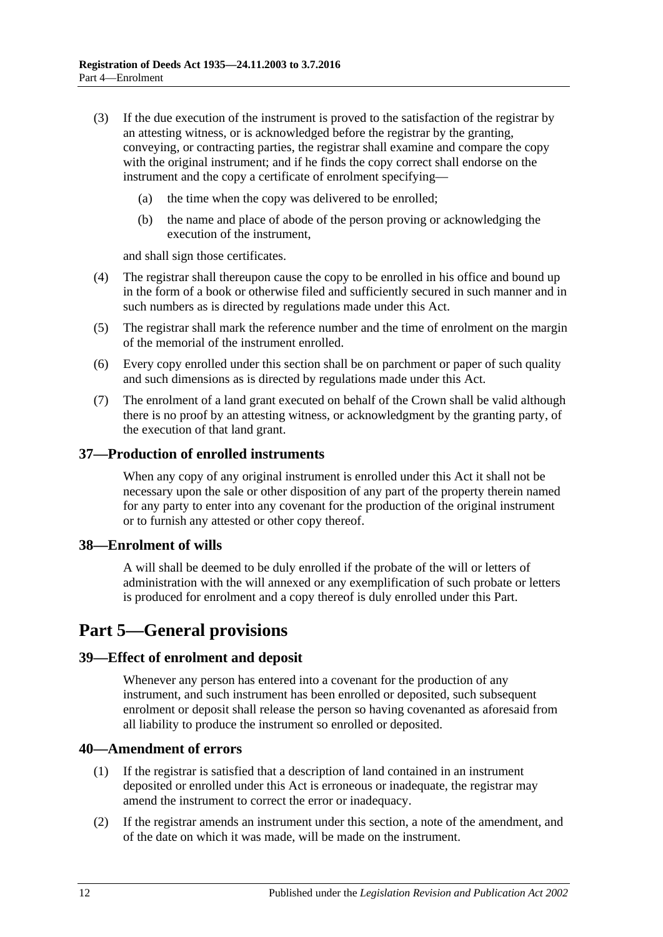- (3) If the due execution of the instrument is proved to the satisfaction of the registrar by an attesting witness, or is acknowledged before the registrar by the granting, conveying, or contracting parties, the registrar shall examine and compare the copy with the original instrument; and if he finds the copy correct shall endorse on the instrument and the copy a certificate of enrolment specifying—
	- (a) the time when the copy was delivered to be enrolled;
	- (b) the name and place of abode of the person proving or acknowledging the execution of the instrument,

and shall sign those certificates.

- (4) The registrar shall thereupon cause the copy to be enrolled in his office and bound up in the form of a book or otherwise filed and sufficiently secured in such manner and in such numbers as is directed by regulations made under this Act.
- (5) The registrar shall mark the reference number and the time of enrolment on the margin of the memorial of the instrument enrolled.
- (6) Every copy enrolled under this section shall be on parchment or paper of such quality and such dimensions as is directed by regulations made under this Act.
- (7) The enrolment of a land grant executed on behalf of the Crown shall be valid although there is no proof by an attesting witness, or acknowledgment by the granting party, of the execution of that land grant.

#### <span id="page-11-0"></span>**37—Production of enrolled instruments**

When any copy of any original instrument is enrolled under this Act it shall not be necessary upon the sale or other disposition of any part of the property therein named for any party to enter into any covenant for the production of the original instrument or to furnish any attested or other copy thereof.

#### <span id="page-11-1"></span>**38—Enrolment of wills**

A will shall be deemed to be duly enrolled if the probate of the will or letters of administration with the will annexed or any exemplification of such probate or letters is produced for enrolment and a copy thereof is duly enrolled under this Part.

## <span id="page-11-2"></span>**Part 5—General provisions**

#### <span id="page-11-3"></span>**39—Effect of enrolment and deposit**

Whenever any person has entered into a covenant for the production of any instrument, and such instrument has been enrolled or deposited, such subsequent enrolment or deposit shall release the person so having covenanted as aforesaid from all liability to produce the instrument so enrolled or deposited.

#### <span id="page-11-4"></span>**40—Amendment of errors**

- (1) If the registrar is satisfied that a description of land contained in an instrument deposited or enrolled under this Act is erroneous or inadequate, the registrar may amend the instrument to correct the error or inadequacy.
- (2) If the registrar amends an instrument under this section, a note of the amendment, and of the date on which it was made, will be made on the instrument.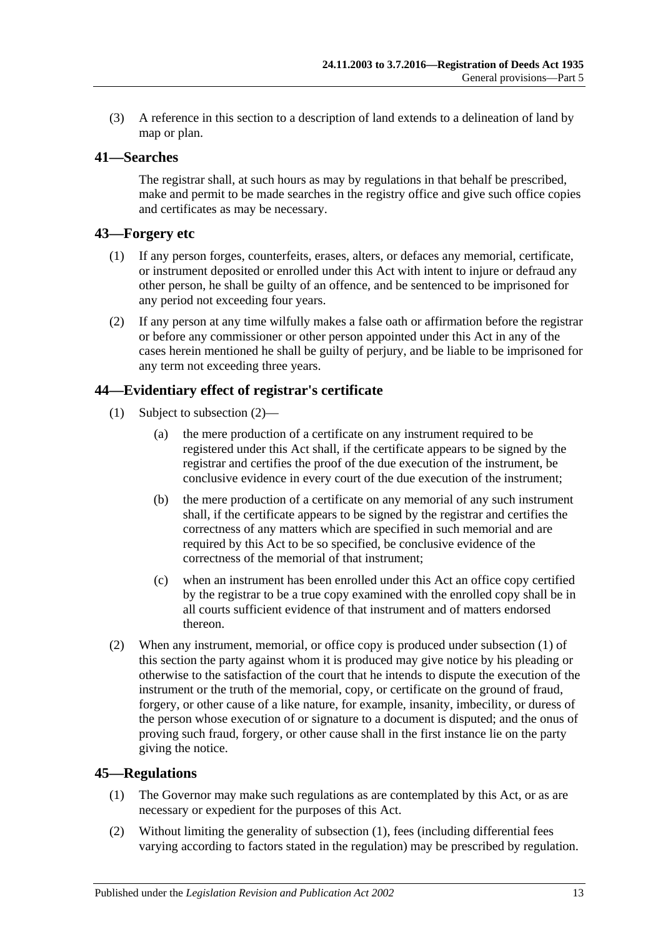(3) A reference in this section to a description of land extends to a delineation of land by map or plan.

### <span id="page-12-0"></span>**41—Searches**

The registrar shall, at such hours as may by regulations in that behalf be prescribed, make and permit to be made searches in the registry office and give such office copies and certificates as may be necessary.

### <span id="page-12-1"></span>**43—Forgery etc**

- (1) If any person forges, counterfeits, erases, alters, or defaces any memorial, certificate, or instrument deposited or enrolled under this Act with intent to injure or defraud any other person, he shall be guilty of an offence, and be sentenced to be imprisoned for any period not exceeding four years.
- (2) If any person at any time wilfully makes a false oath or affirmation before the registrar or before any commissioner or other person appointed under this Act in any of the cases herein mentioned he shall be guilty of perjury, and be liable to be imprisoned for any term not exceeding three years.

### <span id="page-12-5"></span><span id="page-12-2"></span>**44—Evidentiary effect of registrar's certificate**

- (1) Subject to [subsection](#page-12-4) (2)—
	- (a) the mere production of a certificate on any instrument required to be registered under this Act shall, if the certificate appears to be signed by the registrar and certifies the proof of the due execution of the instrument, be conclusive evidence in every court of the due execution of the instrument;
	- (b) the mere production of a certificate on any memorial of any such instrument shall, if the certificate appears to be signed by the registrar and certifies the correctness of any matters which are specified in such memorial and are required by this Act to be so specified, be conclusive evidence of the correctness of the memorial of that instrument;
	- (c) when an instrument has been enrolled under this Act an office copy certified by the registrar to be a true copy examined with the enrolled copy shall be in all courts sufficient evidence of that instrument and of matters endorsed thereon.
- <span id="page-12-4"></span>(2) When any instrument, memorial, or office copy is produced under [subsection](#page-12-5) (1) of this section the party against whom it is produced may give notice by his pleading or otherwise to the satisfaction of the court that he intends to dispute the execution of the instrument or the truth of the memorial, copy, or certificate on the ground of fraud, forgery, or other cause of a like nature, for example, insanity, imbecility, or duress of the person whose execution of or signature to a document is disputed; and the onus of proving such fraud, forgery, or other cause shall in the first instance lie on the party giving the notice.

#### <span id="page-12-6"></span><span id="page-12-3"></span>**45—Regulations**

- (1) The Governor may make such regulations as are contemplated by this Act, or as are necessary or expedient for the purposes of this Act.
- (2) Without limiting the generality of [subsection](#page-12-6) (1), fees (including differential fees varying according to factors stated in the regulation) may be prescribed by regulation.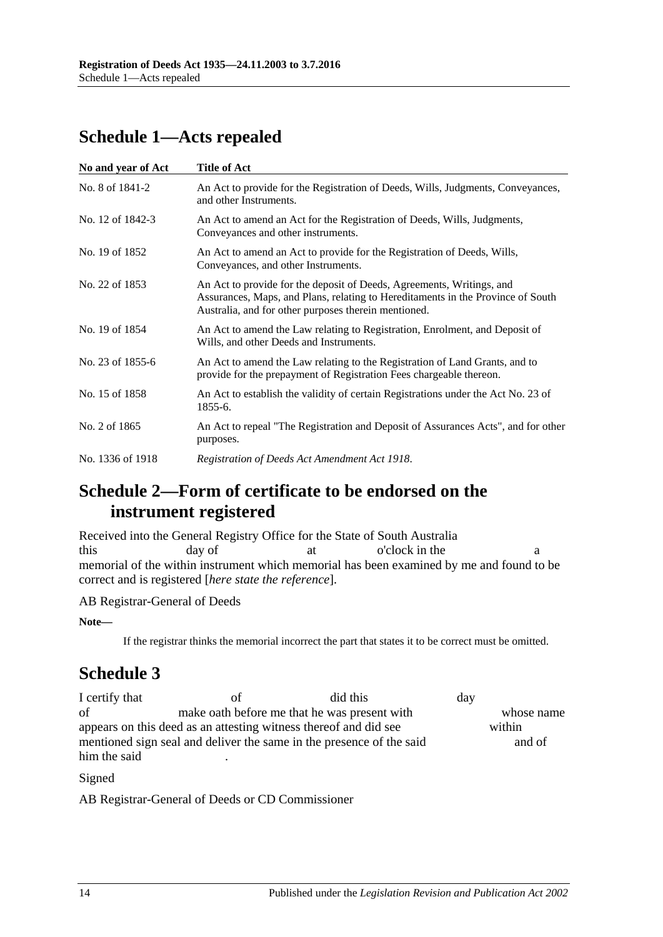## <span id="page-13-0"></span>**Schedule 1—Acts repealed**

| No and year of Act | Title of Act                                                                                                                                                                                                     |
|--------------------|------------------------------------------------------------------------------------------------------------------------------------------------------------------------------------------------------------------|
| No. 8 of 1841-2    | An Act to provide for the Registration of Deeds, Wills, Judgments, Conveyances,<br>and other Instruments.                                                                                                        |
| No. 12 of 1842-3   | An Act to amend an Act for the Registration of Deeds, Wills, Judgments,<br>Conveyances and other instruments.                                                                                                    |
| No. 19 of 1852     | An Act to amend an Act to provide for the Registration of Deeds, Wills,<br>Conveyances, and other Instruments.                                                                                                   |
| No. 22 of 1853     | An Act to provide for the deposit of Deeds, Agreements, Writings, and<br>Assurances, Maps, and Plans, relating to Hereditaments in the Province of South<br>Australia, and for other purposes therein mentioned. |
| No. 19 of 1854     | An Act to amend the Law relating to Registration, Enrolment, and Deposit of<br>Wills, and other Deeds and Instruments.                                                                                           |
| No. 23 of 1855-6   | An Act to amend the Law relating to the Registration of Land Grants, and to<br>provide for the prepayment of Registration Fees chargeable thereon.                                                               |
| No. 15 of 1858     | An Act to establish the validity of certain Registrations under the Act No. 23 of<br>1855-6.                                                                                                                     |
| No. 2 of 1865      | An Act to repeal "The Registration and Deposit of Assurances Acts", and for other<br>purposes.                                                                                                                   |
| No. 1336 of 1918   | Registration of Deeds Act Amendment Act 1918.                                                                                                                                                                    |

## <span id="page-13-1"></span>**Schedule 2—Form of certificate to be endorsed on the instrument registered**

Received into the General Registry Office for the State of South Australia this day of at o'clock in the a memorial of the within instrument which memorial has been examined by me and found to be correct and is registered [*here state the reference*].

AB Registrar-General of Deeds

**Note—**

If the registrar thinks the memorial incorrect the part that states it to be correct must be omitted.

## <span id="page-13-2"></span>**Schedule 3**

I certify that of did this day of make oath before me that he was present with whose name appears on this deed as an attesting witness thereof and did see within mentioned sign seal and deliver the same in the presence of the said and of him the said .

#### Signed

AB Registrar-General of Deeds or CD Commissioner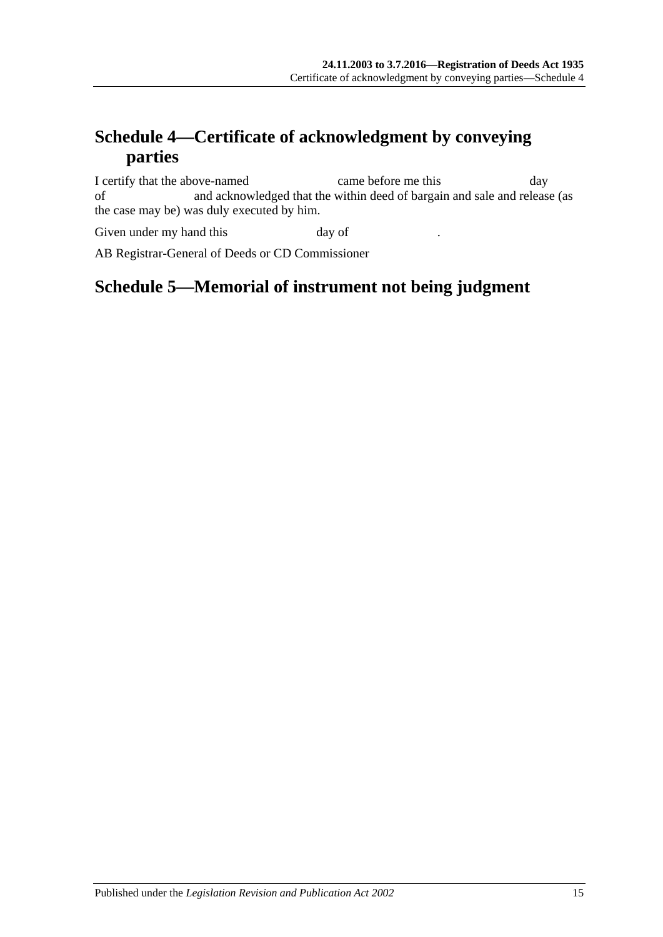## <span id="page-14-0"></span>**Schedule 4—Certificate of acknowledgment by conveying parties**

I certify that the above-named came before me this day of and acknowledged that the within deed of bargain and sale and release (as the case may be) was duly executed by him.

Given under my hand this day of

<span id="page-14-1"></span>AB Registrar-General of Deeds or CD Commissioner

## **Schedule 5—Memorial of instrument not being judgment**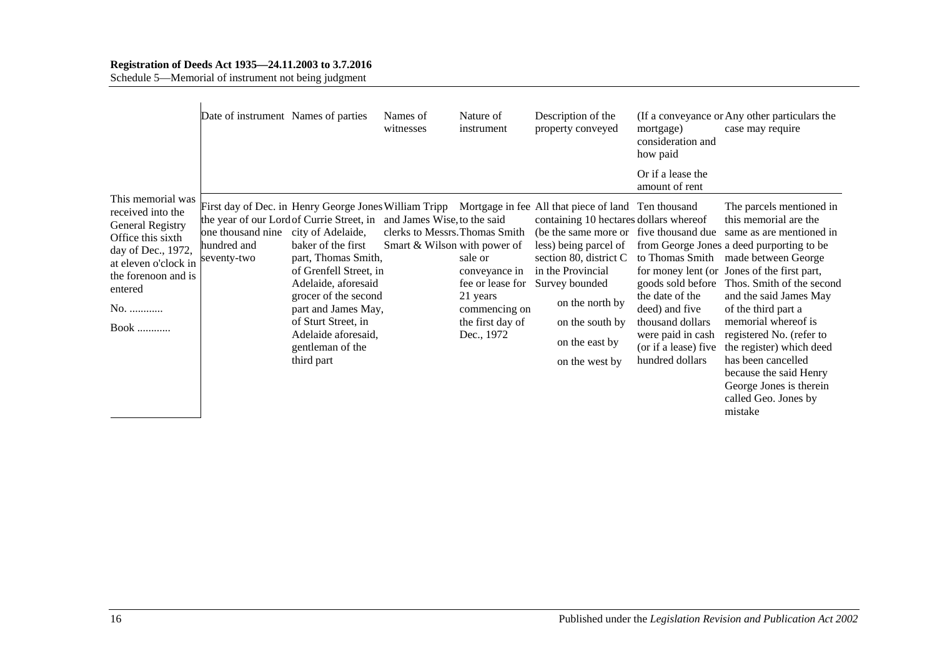#### **Registration of Deeds Act 1935—24.11.2003 to 3.7.2016**

Schedule 5—Memorial of instrument not being judgment

|                                                                                                                                                                                       | Date of instrument Names of parties             |                                                                                                                                                                                                                                                                                             | Names of<br>witnesses                                                                         | Nature of<br>instrument                                                                 | Description of the<br>property conveyed                                                                                                                                                                                                                                                                                                                                             | mortgage)<br>consideration and<br>how paid                                                                                                                    | (If a conveyance or Any other particulars the<br>case may require                                                                                                                                                                                                                                                                                                                                                                                                           |
|---------------------------------------------------------------------------------------------------------------------------------------------------------------------------------------|-------------------------------------------------|---------------------------------------------------------------------------------------------------------------------------------------------------------------------------------------------------------------------------------------------------------------------------------------------|-----------------------------------------------------------------------------------------------|-----------------------------------------------------------------------------------------|-------------------------------------------------------------------------------------------------------------------------------------------------------------------------------------------------------------------------------------------------------------------------------------------------------------------------------------------------------------------------------------|---------------------------------------------------------------------------------------------------------------------------------------------------------------|-----------------------------------------------------------------------------------------------------------------------------------------------------------------------------------------------------------------------------------------------------------------------------------------------------------------------------------------------------------------------------------------------------------------------------------------------------------------------------|
|                                                                                                                                                                                       |                                                 |                                                                                                                                                                                                                                                                                             |                                                                                               |                                                                                         |                                                                                                                                                                                                                                                                                                                                                                                     | Or if a lease the<br>amount of rent                                                                                                                           |                                                                                                                                                                                                                                                                                                                                                                                                                                                                             |
| This memorial was<br>received into the<br>General Registry<br>Office this sixth<br>day of Dec., 1972,<br>at eleven o'clock in<br>the forenoon and is<br>entered<br>No.<br><b>Book</b> | one thousand nine<br>hundred and<br>seventy-two | the year of our Lord of Currie Street, in<br>city of Adelaide,<br>baker of the first<br>part, Thomas Smith,<br>of Grenfell Street, in<br>Adelaide, aforesaid<br>grocer of the second<br>part and James May,<br>of Sturt Street, in<br>Adelaide aforesaid,<br>gentleman of the<br>third part | and James Wise, to the said<br>clerks to Messrs. Thomas Smith<br>Smart & Wilson with power of | sale or<br>conveyance in<br>21 years<br>commencing on<br>the first day of<br>Dec., 1972 | First day of Dec. in Henry George Jones William Tripp Mortgage in fee All that piece of land Ten thousand<br>containing 10 hectares dollars whereof<br>(be the same more or five thousand due)<br>less) being parcel of<br>section 80, district C<br>in the Provincial<br>fee or lease for Survey bounded<br>on the north by<br>on the south by<br>on the east by<br>on the west by | to Thomas Smith<br>goods sold before<br>the date of the<br>deed) and five<br>thousand dollars<br>were paid in cash<br>(or if a lease) five<br>hundred dollars | The parcels mentioned in<br>this memorial are the<br>same as are mentioned in<br>from George Jones a deed purporting to be<br>made between George<br>for money lent (or Jones of the first part,<br>Thos. Smith of the second<br>and the said James May<br>of the third part a<br>memorial whereof is<br>registered No. (refer to<br>the register) which deed<br>has been cancelled<br>because the said Henry<br>George Jones is therein<br>called Geo. Jones by<br>mistake |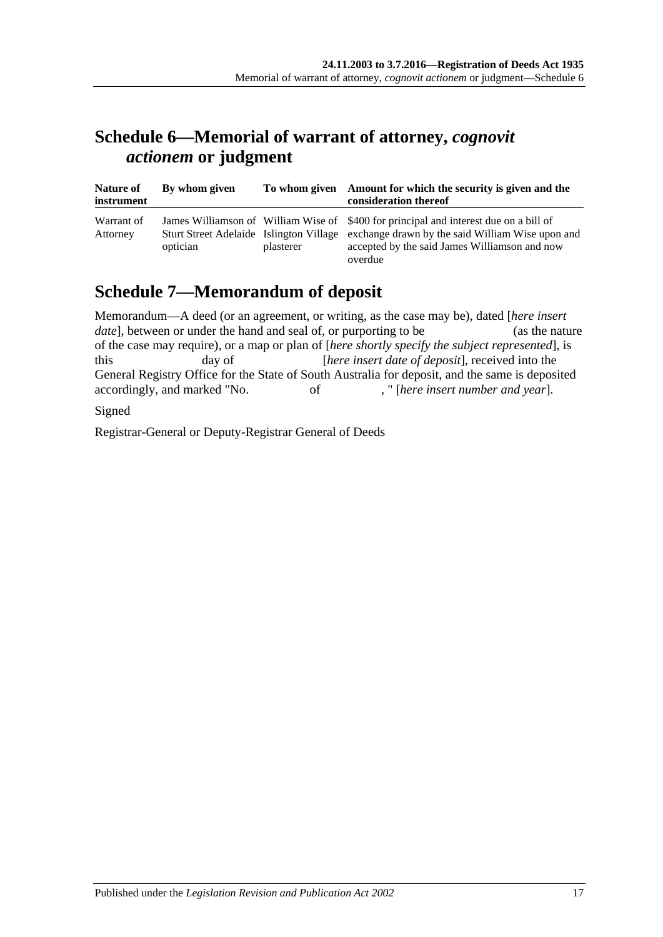## <span id="page-16-0"></span>**Schedule 6—Memorial of warrant of attorney,** *cognovit actionem* **or judgment**

| Nature of<br>instrument | By whom given |           | To whom given Amount for which the security is given and the<br>consideration thereof                                                                                                                                                         |
|-------------------------|---------------|-----------|-----------------------------------------------------------------------------------------------------------------------------------------------------------------------------------------------------------------------------------------------|
| Warrant of<br>Attorney  | optician      | plasterer | James Williamson of William Wise of \$400 for principal and interest due on a bill of<br>Sturt Street Adelaide Islington Village exchange drawn by the said William Wise upon and<br>accepted by the said James Williamson and now<br>overdue |

## <span id="page-16-1"></span>**Schedule 7—Memorandum of deposit**

| Memorandum—A deed (or an agreement, or writing, as the case may be), dated [here insert         |                                                                                                  |    |                                                  |                |  |
|-------------------------------------------------------------------------------------------------|--------------------------------------------------------------------------------------------------|----|--------------------------------------------------|----------------|--|
|                                                                                                 | <i>date</i> , between or under the hand and seal of, or purporting to be                         |    |                                                  | (as the nature |  |
|                                                                                                 | of the case may require), or a map or plan of [here shortly specify the subject represented], is |    |                                                  |                |  |
| this.                                                                                           | day of                                                                                           |    | [here insert date of deposit], received into the |                |  |
| General Registry Office for the State of South Australia for deposit, and the same is deposited |                                                                                                  |    |                                                  |                |  |
| accordingly, and marked "No.                                                                    |                                                                                                  | of | , "[here insert number and year].                |                |  |
| $C_{i,mod}$                                                                                     |                                                                                                  |    |                                                  |                |  |

Signed

Registrar-General or Deputy-Registrar General of Deeds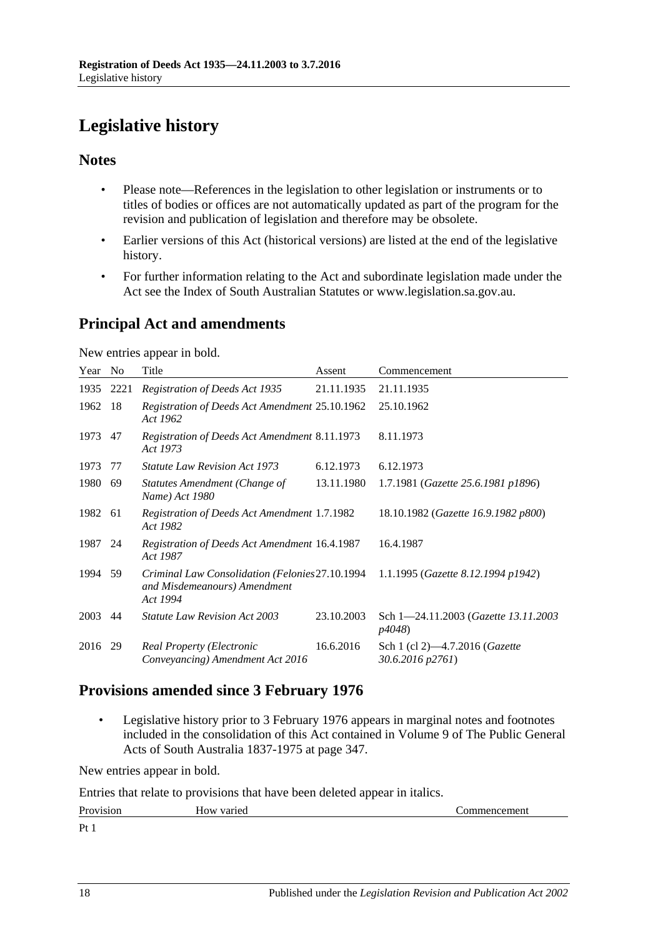## <span id="page-17-0"></span>**Legislative history**

### **Notes**

- Please note—References in the legislation to other legislation or instruments or to titles of bodies or offices are not automatically updated as part of the program for the revision and publication of legislation and therefore may be obsolete.
- Earlier versions of this Act (historical versions) are listed at the end of the legislative history.
- For further information relating to the Act and subordinate legislation made under the Act see the Index of South Australian Statutes or www.legislation.sa.gov.au.

## **Principal Act and amendments**

New entries appear in bold.

| Year | N <sub>0</sub> | Title                                                                                       | Assent     | Commencement                                       |
|------|----------------|---------------------------------------------------------------------------------------------|------------|----------------------------------------------------|
| 1935 | 2221           | Registration of Deeds Act 1935                                                              | 21.11.1935 | 21.11.1935                                         |
| 1962 | 18             | Registration of Deeds Act Amendment 25.10.1962<br>Act 1962                                  |            | 25.10.1962                                         |
| 1973 | 47             | Registration of Deeds Act Amendment 8.11.1973<br>Act 1973                                   |            | 8.11.1973                                          |
| 1973 | 77             | <i>Statute Law Revision Act 1973</i>                                                        | 6.12.1973  | 6.12.1973                                          |
| 1980 | 69             | Statutes Amendment (Change of<br>Name) Act 1980                                             | 13.11.1980 | 1.7.1981 (Gazette 25.6.1981 p1896)                 |
| 1982 | 61             | Registration of Deeds Act Amendment 1.7.1982<br>Act 1982                                    |            | 18.10.1982 (Gazette 16.9.1982 p800)                |
| 1987 | 24             | Registration of Deeds Act Amendment 16.4.1987<br>Act 1987                                   |            | 16.4.1987                                          |
| 1994 | 59             | Criminal Law Consolidation (Felonies 27.10.1994<br>and Misdemeanours) Amendment<br>Act 1994 |            | 1.1.1995 (Gazette 8.12.1994 p1942)                 |
| 2003 | 44             | <b>Statute Law Revision Act 2003</b>                                                        | 23.10.2003 | Sch 1-24.11.2003 (Gazette 13.11.2003)<br>p4048)    |
| 2016 | 29             | Real Property (Electronic<br>Conveyancing) Amendment Act 2016                               | 16.6.2016  | Sch 1 (cl 2)—4.7.2016 (Gazette<br>30.6.2016 p2761) |

## **Provisions amended since 3 February 1976**

• Legislative history prior to 3 February 1976 appears in marginal notes and footnotes included in the consolidation of this Act contained in Volume 9 of The Public General Acts of South Australia 1837-1975 at page 347.

New entries appear in bold.

Entries that relate to provisions that have been deleted appear in italics.

| Provision       | $ -$<br>How varied | nencement |
|-----------------|--------------------|-----------|
| Pt <sub>1</sub> |                    |           |